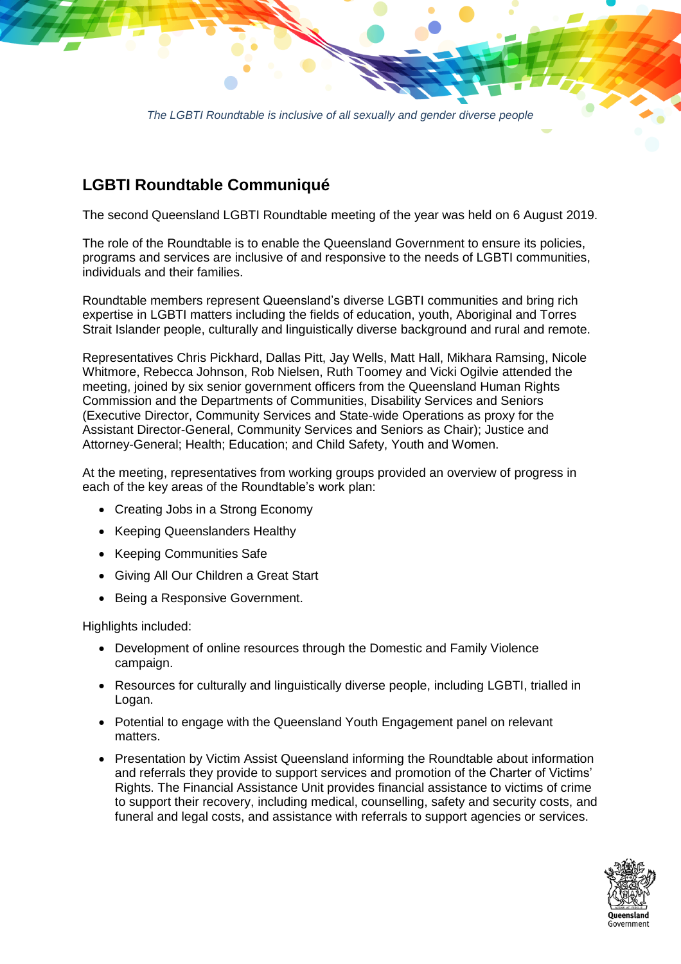*The LGBTI Roundtable is inclusive of all sexually and gender diverse people*

## **LGBTI Roundtable Communiqué**

The second Queensland LGBTI Roundtable meeting of the year was held on 6 August 2019.

The role of the Roundtable is to enable the Queensland Government to ensure its policies, programs and services are inclusive of and responsive to the needs of LGBTI communities, individuals and their families.

Roundtable members represent Queensland's diverse LGBTI communities and bring rich expertise in LGBTI matters including the fields of education, youth, Aboriginal and Torres Strait Islander people, culturally and linguistically diverse background and rural and remote.

Representatives Chris Pickhard, Dallas Pitt, Jay Wells, Matt Hall, Mikhara Ramsing, Nicole Whitmore, Rebecca Johnson, Rob Nielsen, Ruth Toomey and Vicki Ogilvie attended the meeting, joined by six senior government officers from the Queensland Human Rights Commission and the Departments of Communities, Disability Services and Seniors (Executive Director, Community Services and State-wide Operations as proxy for the Assistant Director-General, Community Services and Seniors as Chair); Justice and Attorney-General; Health; Education; and Child Safety, Youth and Women.

At the meeting, representatives from working groups provided an overview of progress in each of the key areas of the Roundtable's work plan:

- Creating Jobs in a Strong Economy
- Keeping Queenslanders Healthy
- Keeping Communities Safe
- Giving All Our Children a Great Start
- Being a Responsive Government.

Highlights included:

- Development of online resources through the Domestic and Family Violence campaign.
- Resources for culturally and linguistically diverse people, including LGBTI, trialled in Logan.
- Potential to engage with the Queensland Youth Engagement panel on relevant matters.
- Presentation by Victim Assist Queensland informing the Roundtable about information and referrals they provide to support services and promotion of the Charter of Victims' Rights. The Financial Assistance Unit provides financial assistance to victims of crime to support their recovery, including medical, counselling, safety and security costs, and funeral and legal costs, and assistance with referrals to support agencies or services.